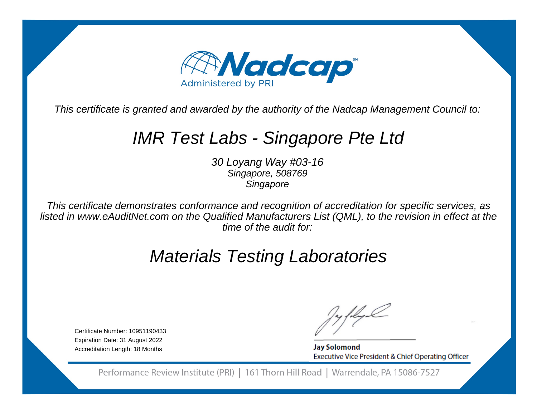

This certificate is granted and awarded by the authority of the Nadcap Management Council to:

# IMR Test Labs - Singapore Pte Ltd

30 Loyang Way #03-16Singapore, 508769**Singapore** 

This certificate demonstrates conformance and recognition of accreditation for specific services, as listed in www.eAuditNet.com on the Qualified Manufacturers List (QML), to the revision in effect at thetime of the audit for:

# Materials Testing Laboratories

Certificate Number: 10951190433 Expiration Date: 31 August 2022Accreditation Length: 18 Months

**Jay Solomond** Executive Vice President & Chief Operating Officer

Performance Review Institute (PRI) | 161 Thorn Hill Road | Warrendale, PA 15086-7527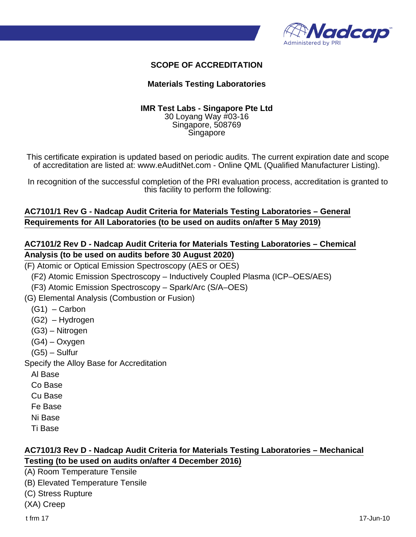

#### **SCOPE OF ACCREDITATION**

#### **Materials Testing Laboratories**

#### **IMR Test Labs - Singapore Pte Ltd** 30 Loyang Way #03-16 Singapore, 508769 Singapore

This certificate expiration is updated based on periodic audits. The current expiration date and scope of accreditation are listed at: www.eAuditNet.com - Online QML (Qualified Manufacturer Listing).

In recognition of the successful completion of the PRI evaluation process, accreditation is granted to this facility to perform the following:

# **AC7101/1 Rev G - Nadcap Audit Criteria for Materials Testing Laboratories – General Requirements for All Laboratories (to be used on audits on/after 5 May 2019)**

### **AC7101/2 Rev D - Nadcap Audit Criteria for Materials Testing Laboratories – Chemical Analysis (to be used on audits before 30 August 2020)**

(F) Atomic or Optical Emission Spectroscopy (AES or OES)

(F2) Atomic Emission Spectroscopy – Inductively Coupled Plasma (ICP–OES/AES)

(F3) Atomic Emission Spectroscopy – Spark/Arc (S/A–OES)

(G) Elemental Analysis (Combustion or Fusion)

- $(G1)$  Carbon
- (G2) Hydrogen
- (G3) Nitrogen
- (G4) Oxygen
- (G5) Sulfur

Specify the Alloy Base for Accreditation

- Al Base
- Co Base
- Cu Base
- Fe Base
- Ni Base
- Ti Base

#### **AC7101/3 Rev D - Nadcap Audit Criteria for Materials Testing Laboratories – Mechanical Testing (to be used on audits on/after 4 December 2016)**

(A) Room Temperature Tensile

- (B) Elevated Temperature Tensile
- (C) Stress Rupture
- (XA) Creep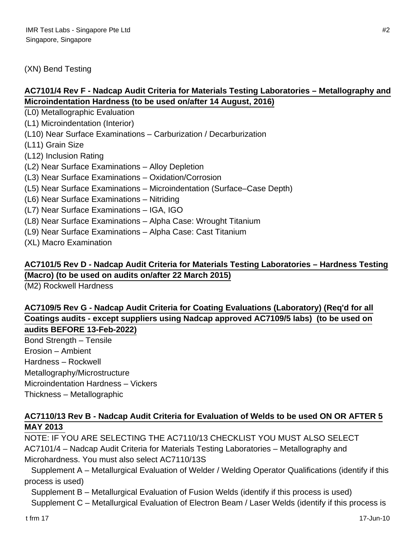#### (XN) Bend Testing

# **AC7101/4 Rev F - Nadcap Audit Criteria for Materials Testing Laboratories – Metallography and Microindentation Hardness (to be used on/after 14 August, 2016)**

(L0) Metallographic Evaluation

(L1) Microindentation (Interior)

(L10) Near Surface Examinations – Carburization / Decarburization

(L11) Grain Size

(L12) Inclusion Rating

(L2) Near Surface Examinations – Alloy Depletion

(L3) Near Surface Examinations – Oxidation/Corrosion

(L5) Near Surface Examinations – Microindentation (Surface–Case Depth)

(L6) Near Surface Examinations – Nitriding

(L7) Near Surface Examinations – IGA, IGO

(L8) Near Surface Examinations – Alpha Case: Wrought Titanium

(L9) Near Surface Examinations – Alpha Case: Cast Titanium

(XL) Macro Examination

# **AC7101/5 Rev D - Nadcap Audit Criteria for Materials Testing Laboratories – Hardness Testing (Macro) (to be used on audits on/after 22 March 2015)**

(M2) Rockwell Hardness

# **AC7109/5 Rev G - Nadcap Audit Criteria for Coating Evaluations (Laboratory) (Req'd for all Coatings audits - except suppliers using Nadcap approved AC7109/5 labs) (to be used on audits BEFORE 13-Feb-2022)**

Bond Strength – Tensile Erosion – Ambient Hardness – Rockwell Metallography/Microstructure Microindentation Hardness – Vickers Thickness – Metallographic

# **AC7110/13 Rev B - Nadcap Audit Criteria for Evaluation of Welds to be used ON OR AFTER 5 MAY 2013**

NOTE: IF YOU ARE SELECTING THE AC7110/13 CHECKLIST YOU MUST ALSO SELECT AC7101/4 – Nadcap Audit Criteria for Materials Testing Laboratories – Metallography and Microhardness. You must also select AC7110/13S

 Supplement A – Metallurgical Evaluation of Welder / Welding Operator Qualifications (identify if this process is used)

Supplement B – Metallurgical Evaluation of Fusion Welds (identify if this process is used)

Supplement C – Metallurgical Evaluation of Electron Beam / Laser Welds (identify if this process is